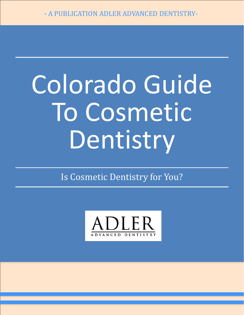# Colorado Guide To Cosmetic Dentistry

Is Cosmetic Dentistry for You?

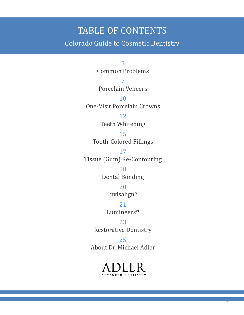#### TABLE OF CONTENTS

Colorado Guide to Cosmetic Dentistry

5 Common Problems

7 Porcelain Veneers

10 One-Visit Porcelain Crowns

> 12 Teeth Whitening

15 Tooth-Colored Fillings

17 Tissue (Gum) Re-Contouring

> 18 Dental Bonding

> > 20

Invisalign®

21 Lumineers®

23 Restorative Dentistry

25 About Dr. Michael Adler



2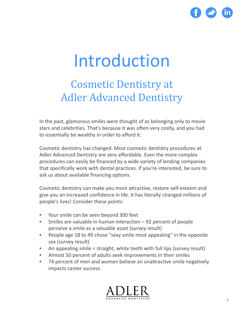

### Introduction

### Cosmetic Dentistry at Adler Advanced Dentistry

In the past, glamorous smiles were thought of as belonging only to movie stars and celebrities. That's because it was often very costly, and you had to essentially be wealthy in order to afford it.

Cosmetic dentistry has changed. Most cosmetic dentistry procedures at Adler Advanced Dentistry are very affordable. Even the more complex procedures can easily be financed by a wide variety of lending companies that specifically work with dental practices. If you're interested, be sure to ask us about available financing options.

Cosmetic dentistry can make you more attractive, restore self-esteem and give you an increased confidence in life. It has literally changed millions of people's lives! Consider these points:

- Your smile can be seen beyond 300 feet
- Smiles are valuable in human interaction 92 percent of people perceive a smile as a valuable asset (survey result)
- People age 18 to 49 chose "sexy smile most appealing" in the opposite sex (survey result)
- An appealing smile = straight, white teeth with full lips (survey result)
- Almost 50 percent of adults seek improvements in their smiles
- 74 percent of men and women believe an unattractive smile negatively impacts career success

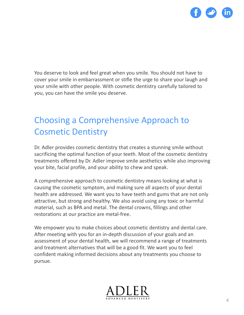

You deserve to look and feel great when you smile. You should not have to cover your smile in embarrassment or stifle the urge to share your laugh and your smile with other people. With cosmetic dentistry carefully tailored to you, you can have the smile you deserve.

#### Choosing a Comprehensive Approach to Cosmetic Dentistry

Dr. Adler provides cosmetic dentistry that creates a stunning smile without sacrificing the optimal function of your teeth. Most of the cosmetic dentistry treatments offered by Dr. Adler improve smile aesthetics while also improving your bite, facial profile, and your ability to chew and speak.

A comprehensive approach to cosmetic dentistry means looking at what is causing the cosmetic symptom, and making sure all aspects of your dental health are addressed. We want you to have teeth and gums that are not only attractive, but strong and healthy. We also avoid using any toxic or harmful material, such as BPA and metal. The dental crowns, fillings and other restorations at our practice are metal-free.

We empower you to make choices about cosmetic dentistry and dental care. After meeting with you for an in-depth discussion of your goals and an assessment of your dental health, we will recommend a range of treatments and treatment alternatives that will be a good fit. We want you to feel confident making informed decisions about any treatments you choose to pursue.

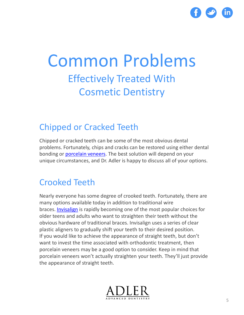

### Common Problems Effectively Treated With Cosmetic Dentistry

#### Chipped or Cracked Teeth

Chipped or cracked teeth can be some of the most obvious dental problems. Fortunately, chips and cracks can be restored using either dental bonding or [porcelain veneers.](http://www.adlerdentistry.com/porcelain-veneers) The best solution will depend on your unique circumstances, and Dr. Adler is happy to discuss all of your options.

#### Crooked Teeth

Nearly everyone has some degree of crooked teeth. Fortunately, there are many options available today in addition to traditional wire braces. [Invisalign](http://www.adlerdentistry.com/invisalign-clear-braces) is rapidly becoming one of the most popular choices for older teens and adults who want to straighten their teeth without the obvious hardware of traditional braces. Invisalign uses a series of clear plastic aligners to gradually shift your teeth to their desired position. If you would like to achieve the appearance of straight teeth, but don't want to invest the time associated with orthodontic treatment, then porcelain veneers may be a good option to consider. Keep in mind that porcelain veneers won't actually straighten your teeth. They'll just provide the appearance of straight teeth.

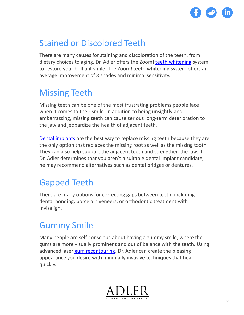

#### Stained or Discolored Teeth

There are many causes for staining and discoloration of the teeth, from dietary choices to aging. Dr. Adler offers the Zoom! [teeth whitening](http://www.adlerdentistry.com/tooth-whitening) system to restore your brilliant smile. The Zoom! teeth whitening system offers an average improvement of 8 shades and minimal sensitivity.

#### Missing Teeth

Missing teeth can be one of the most frustrating problems people face when it comes to their smile. In addition to being unsightly and embarrassing, missing teeth can cause serious long-term deterioration to the jaw and jeopardize the health of adjacent teeth.

[Dental implants](http://www.adlerdentistry.com/dental-implants) are the best way to replace missing teeth because they are the only option that replaces the missing root as well as the missing tooth. They can also help support the adjacent teeth and strengthen the jaw. If Dr. Adler determines that you aren't a suitable dental implant candidate, he may recommend alternatives such as dental bridges or dentures.

#### Gapped Teeth

There are many options for correcting gaps between teeth, including dental bonding, porcelain veneers, or orthodontic treatment with Invisalign.

#### Gummy Smile

Many people are self-conscious about having a gummy smile, where the gums are more visually prominent and out of balance with the teeth. Using advanced laser [gum recontouring,](http://www.adlerdentistry.com/gum-recontouring-for-gummy-smile) Dr. Adler can create the pleasing appearance you desire with minimally invasive techniques that heal quickly.

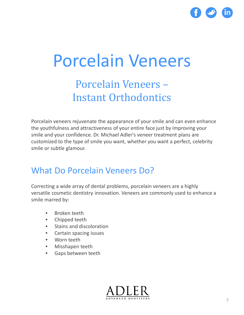

# Porcelain Veneers

### Porcelain Veneers – Instant Orthodontics

Porcelain veneers rejuvenate the appearance of your smile and can even enhance the youthfulness and attractiveness of your entire face just by improving your smile and your confidence. Dr. Michael Adler's veneer treatment plans are customized to the type of smile you want, whether you want a perfect, celebrity smile or subtle glamour.

#### What Do Porcelain Veneers Do?

Correcting a wide array of dental problems, porcelain veneers are a highly versatile cosmetic dentistry innovation. Veneers are commonly used to enhance a smile marred by:

- Broken teeth
- Chipped teeth
- Stains and discoloration
- Certain spacing issues
- Worn teeth
- Misshapen teeth
- Gaps between teeth

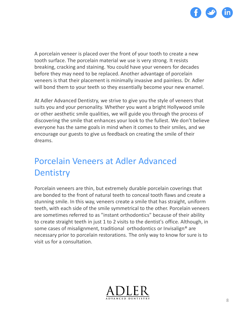

A porcelain veneer is placed over the front of your tooth to create a new tooth surface. The porcelain material we use is very strong. It resists breaking, cracking and staining. You could have your veneers for decades before they may need to be replaced. Another advantage of porcelain veneers is that their placement is minimally invasive and painless. Dr. Adler will bond them to your teeth so they essentially become your new enamel.

At Adler Advanced Dentistry, we strive to give you the style of veneers that suits you and your personality. Whether you want a bright Hollywood smile or other aesthetic smile qualities, we will guide you through the process of discovering the smile that enhances your look to the fullest. We don't believe everyone has the same goals in mind when it comes to their smiles, and we encourage our guests to give us feedback on creating the smile of their dreams.

#### Porcelain Veneers at Adler Advanced **Dentistry**

Porcelain veneers are thin, but extremely durable porcelain coverings that are bonded to the front of natural teeth to conceal tooth flaws and create a stunning smile. In this way, veneers create a smile that has straight, uniform teeth, with each side of the smile symmetrical to the other. Porcelain veneers are sometimes referred to as "instant orthodontics" because of their ability to create straight teeth in just 1 to 2 visits to the dentist's office. Although, in some cases of misalignment, traditional orthodontics or Invisalign® are necessary prior to porcelain restorations. The only way to know for sure is to visit us for a consultation.

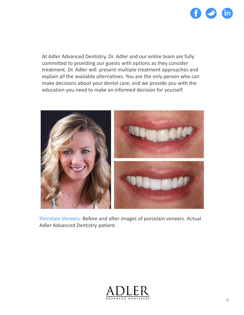

At Adler Advanced Dentistry, Dr. Adler and our entire team are fully committed to providing our guests with options as they consider treatment. Dr. Adler will present multiple treatment approaches and explain all the available alternatives. You are the only person who can make decisions about your dental care, and we provide you with the education you need to make an informed decision for yourself.



Porcelain Veneers: Before and after images of porcelain veneers. Actual Adler Advanced Dentistry patient.

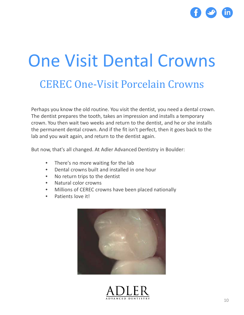

# One Visit Dental Crowns

#### CEREC One-Visit Porcelain Crowns

Perhaps you know the old routine. You visit the dentist, you need a dental crown. The dentist prepares the tooth, takes an impression and installs a temporary crown. You then wait two weeks and return to the dentist, and he or she installs the permanent dental crown. And if the fit isn't perfect, then it goes back to the lab and you wait again, and return to the dentist again.

But now, that's all changed. At Adler Advanced Dentistry in Boulder:

- There's no more waiting for the lab
- Dental crowns built and installed in one hour
- No return trips to the dentist
- Natural color crowns
- Millions of CEREC crowns have been placed nationally
- Patients love it!



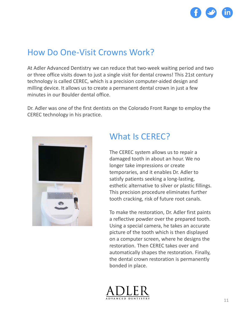

#### How Do One-Visit Crowns Work?

At Adler Advanced Dentistry we can reduce that two-week waiting period and two or three office visits down to just a single visit for dental crowns! This 21st century technology is called CEREC, which is a precision computer-aided design and milling device. It allows us to create a permanent dental crown in just a few minutes in our Boulder dental office.

Dr. Adler was one of the first dentists on the Colorado Front Range to employ the CEREC technology in his practice.



#### What Is CEREC?

The CEREC system allows us to repair a damaged tooth in about an hour. We no longer take impressions or create temporaries, and it enables Dr. Adler to satisfy patients seeking a long-lasting, esthetic alternative to silver or plastic fillings. This precision procedure eliminates further tooth cracking, risk of future root canals.

To make the restoration, Dr. Adler first paints a reflective powder over the prepared tooth. Using a special camera, he takes an accurate picture of the tooth which is then displayed on a computer screen, where he designs the restoration. Then CEREC takes over and automatically shapes the restoration. Finally, the dental crown restoration is permanently bonded in place.

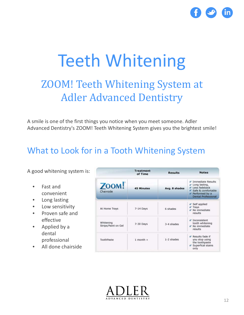

### Teeth Whitening ZOOM! Teeth Whitening System at Adler Advanced Dentistry

A smile is one of the first things you notice when you meet someone. Adler Advanced Dentistry's ZOOM! Teeth Whitening System gives you the brightest smile!

#### What to Look for in a Tooth Whitening System

A good whitening system is:

- Fast and convenient
- Long lasting
- Low sensitivity
- Proven safe and effective
- Applied by a dental professional
- All done chairside

|                                  | <b>Treatment</b><br>of Time | <b>Results</b> | <b>Notes</b>                                                                                                                         |
|----------------------------------|-----------------------------|----------------|--------------------------------------------------------------------------------------------------------------------------------------|
| ZOOM!<br>Chairside               | <b>45 Minutes</b>           | Avg. 8 shades  | Immediate Results<br>$\angle$ Long lasting,<br>v Less fadeback<br>Safe & comfortable<br>Performed by a<br><b>Dental Professional</b> |
| At Home Trays                    | $7-14$ Days                 | 6 shades       | Self applied<br>$\angle$ Trays<br>× No immediate<br>results                                                                          |
| Whitening<br>Strips/Paint on Gel | 7-30 Days                   | 3-4 shades     | √ Inconsistent<br>tooth whitening<br>✔ No immediate<br>results                                                                       |
| ToothPaste                       | $1$ month $+$               | 1-2 shades     | Results fade if<br>you stop using<br>the toothpaste<br>$\leq$ Superfical stains<br>only                                              |

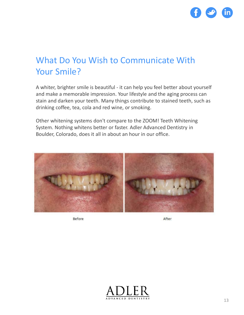

#### What Do You Wish to Communicate With Your Smile?

A whiter, brighter smile is beautiful - it can help you feel better about yourself and make a memorable impression. Your lifestyle and the aging process can stain and darken your teeth. Many things contribute to stained teeth, such as drinking coffee, tea, cola and red wine, or smoking.

Other whitening systems don't compare to the ZOOM! Teeth Whitening System. Nothing whitens better or faster. Adler Advanced Dentistry in Boulder, Colorado, does it all in about an hour in our office.



Before

After

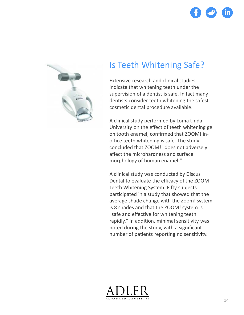



#### Is Teeth Whitening Safe?

Extensive research and clinical studies indicate that whitening teeth under the supervision of a dentist is safe. In fact many dentists consider teeth whitening the safest cosmetic dental procedure available.

A clinical study performed by Loma Linda University on the effect of teeth whitening gel on tooth enamel, confirmed that ZOOM! inoffice teeth whitening is safe. The study concluded that ZOOM! "does not adversely affect the microhardness and surface morphology of human enamel."

A clinical study was conducted by Discus Dental to evaluate the efficacy of the ZOOM! Teeth Whitening System. Fifty subjects participated in a study that showed that the average shade change with the Zoom! system is 8 shades and that the ZOOM! system is "safe and effective for whitening teeth rapidly." In addition, minimal sensitivity was noted during the study, with a significant number of patients reporting no sensitivity.

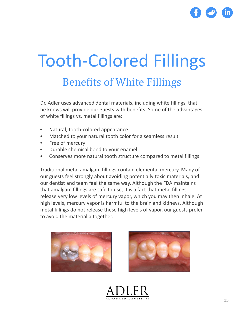

### Tooth-Colored Fillings Benefits of White Fillings

Dr. Adler uses advanced dental materials, including white fillings, that he knows will provide our guests with benefits. Some of the advantages of white fillings vs. metal fillings are:

- Natural, tooth-colored appearance
- Matched to your natural tooth color for a seamless result
- Free of mercury
- Durable chemical bond to your enamel
- Conserves more natural tooth structure compared to metal fillings

Traditional metal amalgam fillings contain elemental mercury. Many of our guests feel strongly about avoiding potentially toxic materials, and our dentist and team feel the same way. Although the FDA maintains that amalgam fillings are safe to use, it is a fact that metal fillings release very low levels of mercury vapor, which you may then inhale. At high levels, mercury vapor is harmful to the brain and kidneys. Although metal fillings do not release these high levels of vapor, our guests prefer to avoid the material altogether.





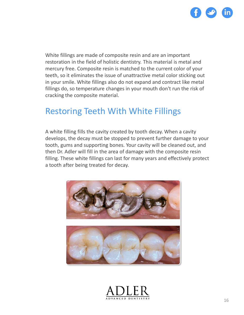

White fillings are made of composite resin and are an important restoration in the field of holistic dentistry. This material is metal and mercury free. Composite resin is matched to the current color of your teeth, so it eliminates the issue of unattractive metal color sticking out in your smile. White fillings also do not expand and contract like metal fillings do, so temperature changes in your mouth don't run the risk of cracking the composite material.

#### Restoring Teeth With White Fillings

A white filling fills the cavity created by tooth decay. When a cavity develops, the decay must be stopped to prevent further damage to your tooth, gums and supporting bones. Your cavity will be cleaned out, and then Dr. Adler will fill in the area of damage with the composite resin filling. These white fillings can last for many years and effectively protect a tooth after being treated for decay.



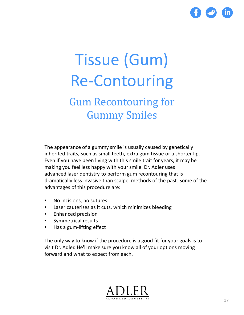

# Tissue (Gum) Re-Contouring

### Gum Recontouring for Gummy Smiles

The appearance of a gummy smile is usually caused by genetically inherited traits, such as small teeth, extra gum tissue or a shorter lip. Even if you have been living with this smile trait for years, it may be making you feel less happy with your smile. Dr. Adler uses advanced laser dentistry to perform gum recontouring that is dramatically less invasive than scalpel methods of the past. Some of the advantages of this procedure are:

- No incisions, no sutures
- Laser cauterizes as it cuts, which minimizes bleeding
- Enhanced precision
- Symmetrical results
- Has a gum-lifting effect

The only way to know if the procedure is a good fit for your goals is to visit Dr. Adler. He'll make sure you know all of your options moving forward and what to expect from each.

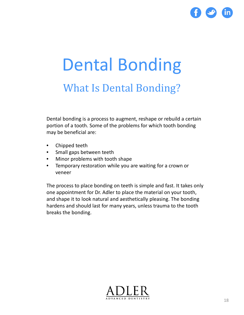

## Dental Bonding What Is Dental Bonding?

Dental bonding is a process to augment, reshape or rebuild a certain portion of a tooth. Some of the problems for which tooth bonding may be beneficial are:

- Chipped teeth
- Small gaps between teeth
- Minor problems with tooth shape
- Temporary restoration while you are waiting for a crown or veneer

The process to place bonding on teeth is simple and fast. It takes only one appointment for Dr. Adler to place the material on your tooth, and shape it to look natural and aesthetically pleasing. The bonding hardens and should last for many years, unless trauma to the tooth breaks the bonding.

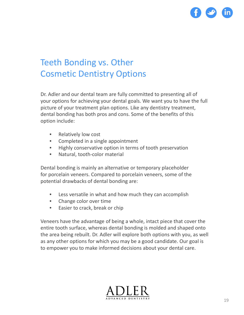

#### Teeth Bonding vs. Other Cosmetic Dentistry Options

Dr. Adler and our dental team are fully committed to presenting all of your options for achieving your dental goals. We want you to have the full picture of your treatment plan options. Like any dentistry treatment, dental bonding has both pros and cons. Some of the benefits of this option include:

- Relatively low cost
- Completed in a single appointment
- Highly conservative option in terms of tooth preservation
- Natural, tooth-color material

Dental bonding is mainly an alternative or temporary placeholder for porcelain veneers. Compared to porcelain veneers, some of the potential drawbacks of dental bonding are:

- Less versatile in what and how much they can accomplish
- Change color over time
- Easier to crack, break or chip

Veneers have the advantage of being a whole, intact piece that cover the entire tooth surface, whereas dental bonding is molded and shaped onto the area being rebuilt. Dr. Adler will explore both options with you, as well as any other options for which you may be a good candidate. Our goal is to empower you to make informed decisions about your dental care.

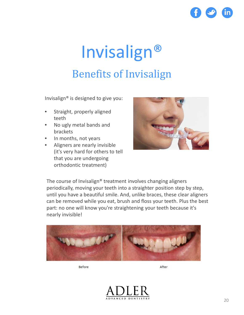

### Invisalign® Benefits of Invisalign

Invisalign® is designed to give you:

- Straight, properly aligned teeth
- No ugly metal bands and brackets
- In months, not years
- Aligners are nearly invisible (it's very hard for others to tell that you are undergoing orthodontic treatment)



The course of Invisalign® treatment involves changing aligners periodically, moving your teeth into a straighter position step by step, until you have a beautiful smile. And, unlike braces, these clear aligners can be removed while you eat, brush and floss your teeth. Plus the best part: no one will know you're straightening your teeth because it's nearly invisible!



Before

After

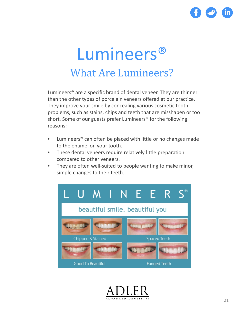

### Lumineers® What Are Lumineers?

Lumineers® are a specific brand of dental veneer. They are thinner than the other types of porcelain veneers offered at our practice. They improve your smile by concealing various cosmetic tooth problems, such as stains, chips and teeth that are misshapen or too short. Some of our guests prefer Lumineers® for the following reasons:

- Lumineers<sup>®</sup> can often be placed with little or no changes made to the enamel on your tooth.
- These dental veneers require relatively little preparation compared to other veneers.
- They are often well-suited to people wanting to make minor, simple changes to their teeth.



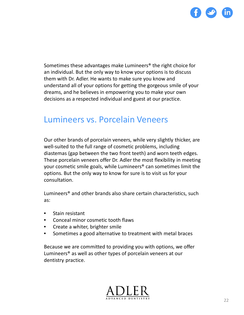

Sometimes these advantages make Lumineers® the right choice for an individual. But the only way to know your options is to discuss them with Dr. Adler. He wants to make sure you know and understand all of your options for getting the gorgeous smile of your dreams, and he believes in empowering you to make your own decisions as a respected individual and guest at our practice.

#### Lumineers vs. Porcelain Veneers

Our other brands of porcelain veneers, while very slightly thicker, are well-suited to the full range of cosmetic problems, including diastemas (gap between the two front teeth) and worn teeth edges. These porcelain veneers offer Dr. Adler the most flexibility in meeting your cosmetic smile goals, while Lumineers® can sometimes limit the options. But the only way to know for sure is to visit us for your consultation.

Lumineers® and other brands also share certain characteristics, such as:

- Stain resistant
- Conceal minor cosmetic tooth flaws
- Create a whiter, brighter smile
- Sometimes a good alternative to treatment with metal braces

Because we are committed to providing you with options, we offer Lumineers® as well as other types of porcelain veneers at our dentistry practice.

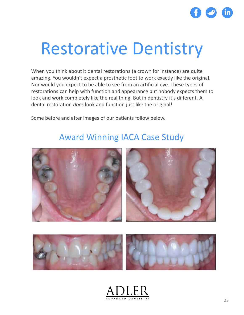

### Restorative Dentistry

When you think about it dental restorations (a crown for instance) are quite amazing. You wouldn't expect a prosthetic foot to work exactly like the original. Nor would you expect to be able to see from an artificial eye. These types of restorations can help with function and appearance but nobody expects them to look and work completely like the real thing. But in dentistry it's different. A dental restoration *does* look and function just like the original!

Some before and after images of our patients follow below.

#### Award Winning IACA Case Study





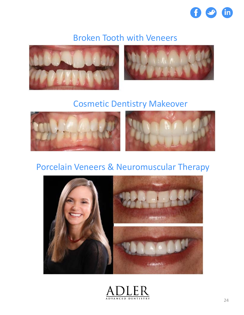

#### Broken Tooth with Veneers





#### Cosmetic Dentistry Makeover





#### Porcelain Veneers & Neuromuscular Therapy



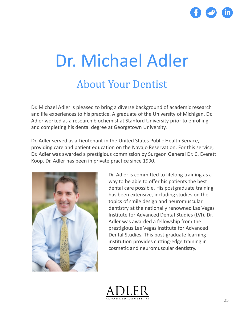

# Dr. Michael Adler About Your Dentist

Dr. Michael Adler is pleased to bring a diverse background of academic research and life experiences to his practice. A graduate of the University of Michigan, Dr. Adler worked as a research biochemist at Stanford University prior to enrolling and completing his dental degree at Georgetown University.

Dr. Adler served as a Lieutenant in the United States Public Health Service, providing care and patient education on the Navajo Reservation. For this service, Dr. Adler was awarded a prestigious commission by Surgeon General Dr. C. Everett Koop. Dr. Adler has been in private practice since 1990.



Dr. Adler is committed to lifelong training as a way to be able to offer his patients the best dental care possible. His postgraduate training has been extensive, including studies on the topics of smile design and neuromuscular dentistry at the nationally renowned Las Vegas Institute for Advanced Dental Studies (LVI). Dr. Adler was awarded a fellowship from the prestigious Las Vegas Institute for Advanced Dental Studies. This post-graduate learning institution provides cutting-edge training in cosmetic and neuromuscular dentistry.